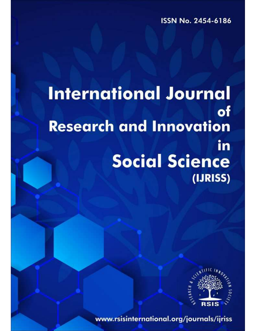ISSN No. 2454-6186

# **International Journal** of **Research and Innovation** in **Social Science** (IJRISS)



www.rsisinternational.org/journals/ijriss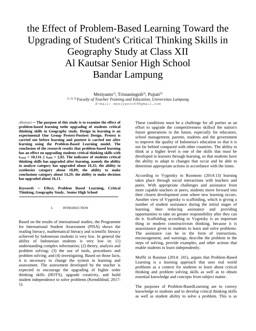# the Effect of Problem-Based Learning Toward the Upgrading of Student's Critical Thinking Skills in Geography Study at Class XII Al Kautsar Senior High School Bandar Lampung

 $Mesiyanto<sup>1</sup>$ , Trisnaningsih<sup>2</sup>, Pujiati<sup>3)</sup> *1), 2), 3) Faculty of Teacher Training and Education, Universitas Lampung E-mail: mesiyanto69@gmail.com*

*Abstract ─* **The purpose of this study is to examine the effect of problem-based learning tothe upgrading of students critical thinking skills in Geography study. Design in learning is an experimental One Group Pretest-Posttest Design. Pretest is carried out before learning and posttest is carried out after learning using the Problem-Based Learning model. The conclusion of the research results that problem-based learning has an effect on upgrading students critical thinking skills with**   $t_{\text{count}} = 10,116 \ge t_{\text{table}} = 2,02$ . The indicator of students critical **thinking skills has upgraded after learning, namely the ability to analyze category has upgraded about 10,32; the ability to synthesize category about 18,09; the ability to make conclusions category about 14,29; the ability to make decision has upgraded about 16,11.**

*Keywords* **─ Effect, Problem Based Learning, Critical Thinking, Geography Study, Senior High School**

#### I. INTRODUCTION

Based on the results of international studies, the Programme for International Student Assessment (PISA) shows the reading literacy, mathematical literacy and scientific literacy achieved by Indonesian students is very low. In general the ability of Indonesian students is very low in: (1) understanding complex information; (2) theory, analysis and problem solving; (3) the use of tools, procedures and problem solving; and (4) investigating. Based on those facts, it is necessary to change the system in learning and assessment. The assessment developed by the teacher is expected to encourage the upgrading of higher order thinking skills (HOTS), upgrade creativity, and build student independence to solve problems (Kemdikbud, 2017: 1).

These conditions must be a challenge for all parties as an effort to upgrade the competitiveness skillsof the nation's future generations in the future, especially for educators, school management, parents, students and the government to improve the quality of Indonesia's education so that it is not far behind compared with other countries. The ability to think at a higher level is one of the skills that must be developed in learners through learning, so that students have the ability to adapt to changes that occur and be able to determine appropriate actions in accordance with the times.

According to Vygotsky in Rusmono (2014:13) learning takes place through social interactions with teachers and peers. With appropriate challenges and assistance from more capable teachers or peers, students move forward into their closest development zone where new learning occurs. Another view of Vygotsky is scaffolding, which is giving a number of student assistance during the initial stages of learning, then reducing assistance and providing opportunities to take on greater responsibility after they can do it. Scaffolding according to Vygotsky is an important thing in modern constructivism thinking, because it is anassistance given to students to learn and solve problems. The assistance can be in the form of instructions, encouragement, and warnings, describe the problem in the steps of solving, provide examples, and other actions that enable students to learn independently.

Moffit in Rusman (2014: 241), argues that Problem-Based Learning is a learning approach that uses real world problems as a context for students to learn about critical thinking and problem solving skills as well as to obtain essential knowledge and concepts from subject matter.

The purposes of Problem-BasedLearning are to convey knowledge to students and to develop critical thinking skills as well as student ability to solve a problem. This is as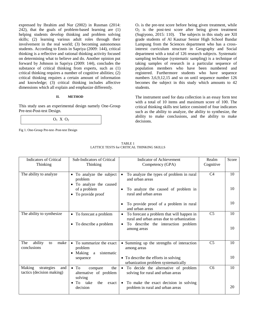expressed by Ibrahim and Nur (2002) in Rusman (2014: 242), that the goals of problem-based learning are (1) helping students develop thinking and problem solving skills; (2) learning various adult roles through their involvement in the real world; (3) becoming autonomous students. According to Ennis in Sapriya (2009: 144), critical thinking is a reflective and rational thinking activity focused on determining what to believe and do. Another opinion put forward by Johnson in Sapriya (2009: 144), concludes the substance of critical thinking from experts, such as (1) critical thinking requires a number of cognitive abilities; (2) critical thinking requires a certain amount of information and knowledge; (3) critical thinking includes affective dimensions which all explain and emphasize differently.

# **II. METHOD**

This study uses an experimental design namely One-Group Pre-test-Post-test Design.



Fig 1. One-Group Pre-test–Post-test Design

 $O<sub>1</sub>$  is the pre-test score before being given treatment, while  $O<sub>2</sub>$  is the post-test score after being given treatment (Sugiyono, 2015: 110). The subjects in this study are XII grade students of Al Kautsar Senior High School Bandar Lampung from the Sciences department who has a crossinterest curriculum structure in Geography and Social department with a total of 126 research subjects. Systematic sampling technique (systematic sampling) is a technique of taking samples of research in a particular sequence of population members who have been numbered and registered. Furthermore students who have sequence numbers 3,6,9,12,15 and so on until sequence number 126 becomes the subject in this study which amounts to 42 students.

The instrument used for data collection is an essay form test with a total of 10 items and maximum score of 100. The critical thinking skills test lattice consisted of four indicators such as the ability to analyze, the ability to synthesize, the ability to make conclusions, and the ability to make decisions.

| TABLE 1                                    |  |
|--------------------------------------------|--|
| LATTICE TESTS for CRITICAL THINKING SKILLS |  |

| <b>Indicators of Critical</b><br>Thinking                | Sub-Indicators of Critical<br>Thinking                                                                                  | <b>Indicator of Achievement</b><br>Competency (GPA)                                                                                                                   | Realm<br>Cognitive | Score    |
|----------------------------------------------------------|-------------------------------------------------------------------------------------------------------------------------|-----------------------------------------------------------------------------------------------------------------------------------------------------------------------|--------------------|----------|
| The ability to analyze                                   | • To analyze the subject<br>problem<br>• To analyze the caused<br>of a problem<br>• To provide proof                    | To analyze the types of problem in rural<br>$\bullet$<br>and urban areas<br>To analyze the caused of problem in<br>rural and urban areas                              | C <sub>4</sub>     | 10<br>10 |
|                                                          |                                                                                                                         | To provide proof of a problem in rural<br>and urban areas                                                                                                             |                    | 10       |
| The ability to synthesize                                | • To forecast a problem<br>• To describe a problem                                                                      | To forecast a problem that will happen in<br>rural and urban areas due to urbanization<br>To describe the interaction problem<br>$\bullet$<br>among areas             | C <sub>5</sub>     | 10<br>10 |
| The<br>ability<br>make<br>to<br>conclusions              | • To summarize the exact<br>problem<br>• Making a sistematic<br>sequence                                                | • Summing up the strengths of interaction<br>among areas<br>• To describe the efforts in solving<br>urbanization problem systematically                               | C <sub>5</sub>     | 10<br>10 |
| Making<br>strategies<br>and<br>tactics (decision making) | $\bullet$ To<br>the<br>compare<br>alternative of problem<br>solving<br>take<br>$\bullet$ To<br>the<br>exact<br>decision | • To decide the alternative of problem<br>solving for rural and urban areas<br>To make the exact decision in solving<br>$\bullet$<br>problem in rural and urban areas | C <sub>6</sub>     | 10<br>20 |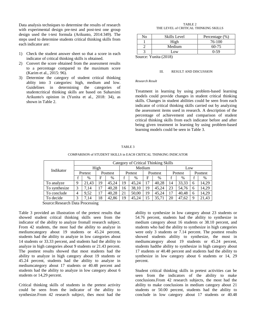Data analysis techniques to determine the results of research with experimental design pre-test and post-test one group design used the t-test formula (Arikunto, 2014:349). The steps used to determine students critical thinking skills from each indicator are:

- 1) Check the student answer sheet so that a score in each indicator of critical thinking skills is obtained.
- 2) Convert the score obtained from the assessment results to a percentage compared to the maximum score (Karim et al., 2015: 96).
- 3) Determine the category of student critical thinking ablity into 3 categories: high, medium and low. Guidelines in determining the categories of studentcritical thinking skills are based on Suharsimi Arikunto's opinion in (Yunita et al., 2018: 34), as shown in Table 2.

TABLE 2 THE LEVEL of CRITICAL THINKING SKILLS

| No | <b>Skills Level</b> | Percentage $(\% )$ |
|----|---------------------|--------------------|
|    | High                | 76-100             |
|    | Medium              | $60 - 75$          |
|    | Low                 | $0-59$             |

Source: Yunita (2018)

#### III. RESULT AND DISCUSSION

## *Research Result*

Treatment in learning by using problem-based learning models could provide changes in student critical thinking skills. Changes in student abilities could be seen from each indicator of critical thinking skills carried out by analyzing the assessment items used in research. A description of the percentage of achievement and comparison of student critical thinking skills from each indicator before and after being given treatment in learning by using problem-based learning models could be seen in Table 3.

#### TABLE 3

### COMPARISON of STUDENT SKILLS in EACH CRITICAL THINKING INDICATOR

|               | Category of Critical Thinking Skills |                |          |       |         |       |          |               |         |       |          |       |
|---------------|--------------------------------------|----------------|----------|-------|---------|-------|----------|---------------|---------|-------|----------|-------|
| Indikator     | High                                 |                |          |       | Medium  |       |          |               | Low     |       |          |       |
|               | Pretest                              |                | Posttest |       | Pretest |       | Posttest |               | Pretest |       | Posttest |       |
|               |                                      | $\%$           | F        | $\%$  |         | $\%$  | F        | $\frac{0}{0}$ |         | $\%$  |          | $\%$  |
| To analyze    | 9                                    | 21.43          | 19       | 45.24 | 19      | 45.24 | 17       | 40.28         | 14      | 33,33 | 6        | 14.29 |
| To synthesize | 3                                    | 7,14           | 17       | 40,28 | 16      | 38,10 | 19       | 45.24         | 23      | 54,76 | 6        | 14,29 |
| To conclude   | 4                                    | 9.52           |          | 40.28 | 21      | 50.00 | 19       | 45.24         | 17      | 40.48 | 6        | 14.29 |
| To decide     | 3                                    | $^{\prime}.14$ | 18       | 42.86 | 19      | 45.24 | 15       | 35.71         | 20      | 47.62 | 9        | 21,43 |

Source:Research Data Processing

Table 3 provided an illustration of the pretest results that showed student critical thinking skills seen from the indicator of the ability to analyze fromall research subject. From 42 students, the most had the ability to analyze in mediumcategory about 19 students or 45.24 percent, students had the ability to analyze in low categories about 14 students or 33.33 percent, and students had the ability to analyze in high categories about 9 students or 21.43 percent. The posttest results showed that most students had the ability to analyze in high category about 19 students or 45.24 percent, students had the ability to analyze in mediumcategory about 17 students or 40.48 percent and students had the ability to analyze in low category about 6 students or 14,29 percent.

Critical thinking skills of students in the pretest activity could be seen from the indicator of the ability to synthesize.From 42 research subject, thes most had the

ability to synthesize in low category about 23 students or 54.76 percent, students had the ability to synthesize in medium category about 16 students or 38.10 percent, and students who had the ability to synthesize in high categories were only 3 students or 7.14 percent. The posttest results showed students ability to synthesize, the most in mediumcategory about 19 students or 45.24 percent, students hadthe ability to synthesize in high category about 17 students or 40.48 percent and students had the ability to synthesize in low category about 6 students or 14, 29 percent.

Student critical thinking skills in pretest activities can be seen from the indicators of the ability to make conclusions.From 42 research subjects, the most had the ability to make conclusions in medium category about 21 students or 50.00 percent, students had the ability to conclude in low category about 17 students or 40.48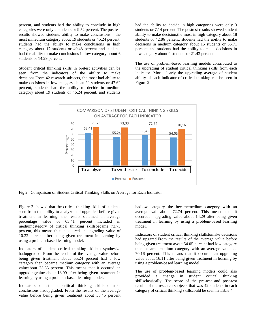percent, and students had the ability to conclude in high categories were only 4 students or 9.52 percent. The posttest results showed students ability to make conclusions, the most inmedium category about 19 students or 45.24 percent, students had the ability to make conclusions in high category about 17 students or 40.48 percent and students had the ability to make conclusions in low category about 6 students or 14.29 percent.

Student critical thinking skills in pretest activities can be seen from the indicators of the ability to make decisions.From 42 research subjects, the most had ability to make decisions in low category about 20 students or 47.62 percent, students had the ability to decide in medium category about 19 students or 45.24 percent, and students

had the ability to decide in high categories were only 3 students or 7.14 percent. The posttest results showed student ability to make decision,the most in high category about 18 students or 42.86 percent, students had the ability to make decisions in medium category about 15 students or 35.71 percent and students had the ability to make decisions in low category about 9 students or 21.43 percent

The use of problem-based learning models contributed to the upgrading of student critical thinking skills from each indicator. More clearly the upgrading average of student ability of each indicator of critical thinking can be seen in Figure 2.



Fig 2. Comparison of Student Critical Thinking Skills on Average for Each Indicator

Figure 2 showed that the critical thinking skills of students seen from the ability to analyze had upgraded before given treatment in learning, the results obtained an average percentage value of 63.41 percent included in mediumcategory of critical thinking skillsbecame 73.73 percent, this means that it occured an upgrading value of 10.32 percent after being given treatment in learning by using a problem-based learning model.

Indicators of student critical thinking skillsto synthesize hadupgraded. From the results of the average value before being given treatment about 55.24 percent had a low category then became medium category with an average valueabout 73.33 percent. This means that it occured an upgradingvalue about 18.09 after being given treatment in learning by using a problem-based learning model.

Indicators of student critical thinking skillsto make conclusions hadupgraded. From the results of the average value before being given treatment about 58.45 percent

hadlow category the becamemedium category with an average valueabout 72.74 percent. This means that it occuredan upgrading value about 14.29 after being given treatment in learning by using a problem-based learning model.

Indicators of student critical thinking skillstomake decisions had upgared.From the results of the average value before being given treatment avout 54.05 percent had low category then became medium category with an average value of 70.16 percent. This means that it occured an upgrading value about 16.11 after being given treatment in learning by using a problem-based learning model.

The use of problem-based learning models could also provided a change in student critical thinking skillsclassically. The score of the pre-test and post-test results of the research subjects that was 42 students in each category of critical thinking skillscould be seen in Table 4.